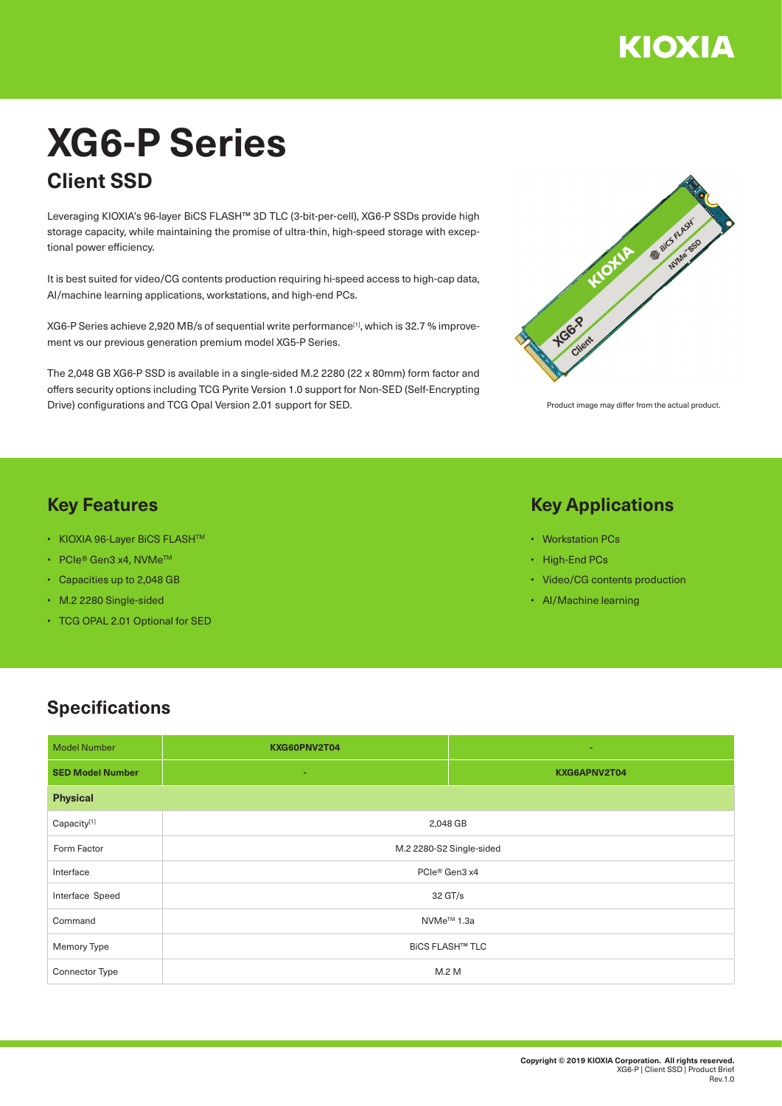

# **XG6-P Series Client SSD**

Leveraging KIOXIA's 96-layer BiCS FLASH™ 3D TLC (3-bit-per-cell), XG6-P SSDs provide high storage capacity, while maintaining the promise of ultra-thin, high-speed storage with exceptional power efficiency.

It is best suited for video/CG contents production requiring hi-speed access to high-cap data, AI/machine learning applications, workstations, and high-end PCs.

XG6-P Series achieve 2,920 MB/s of sequential write performance<sup>[1]</sup>, which is 32.7 % improvement vs our previous generation premium model XG5-P Series.

The 2,048 GB XG6-P SSD is available in a single-sided M.2 2280 (22 x 80mm) form factor and offers security options including TCG Pyrite Version 1.0 support for Non-SED (Self-Encrypting Drive) configurations and TCG Opal Version 2.01 support for SED.



Product image may differ from the actual product.

### **Key Features**

- KIOXIA 96-Layer BiCS FLASHTM
- PCIe® Gen3 x4, NVMeTM
- Capacities up to 2,048 GB
- M.2 2280 Single-sided
- TCG OPAL 2.01 Optional for SED

#### **Key Applications**

- Workstation PCs
- High-End PCs
- Video/CG contents production
- AI/Machine learning

## **Specifications**

| <b>Model Number</b>     | KXG60PNV2T04             | ÷            |  |
|-------------------------|--------------------------|--------------|--|
| <b>SED Model Number</b> | ÷                        | KXG6APNV2T04 |  |
| <b>Physical</b>         |                          |              |  |
| Capacity[1]             | 2,048 GB                 |              |  |
| Form Factor             | M.2 2280-S2 Single-sided |              |  |
| Interface               | PCIe® Gen3 x4            |              |  |
| Interface Speed         | 32 GT/s                  |              |  |
| Command                 | NVMe <sup>™</sup> 1.3a   |              |  |
| Memory Type             | <b>BICS FLASH™ TLC</b>   |              |  |
| Connector Type          | M.2 M                    |              |  |